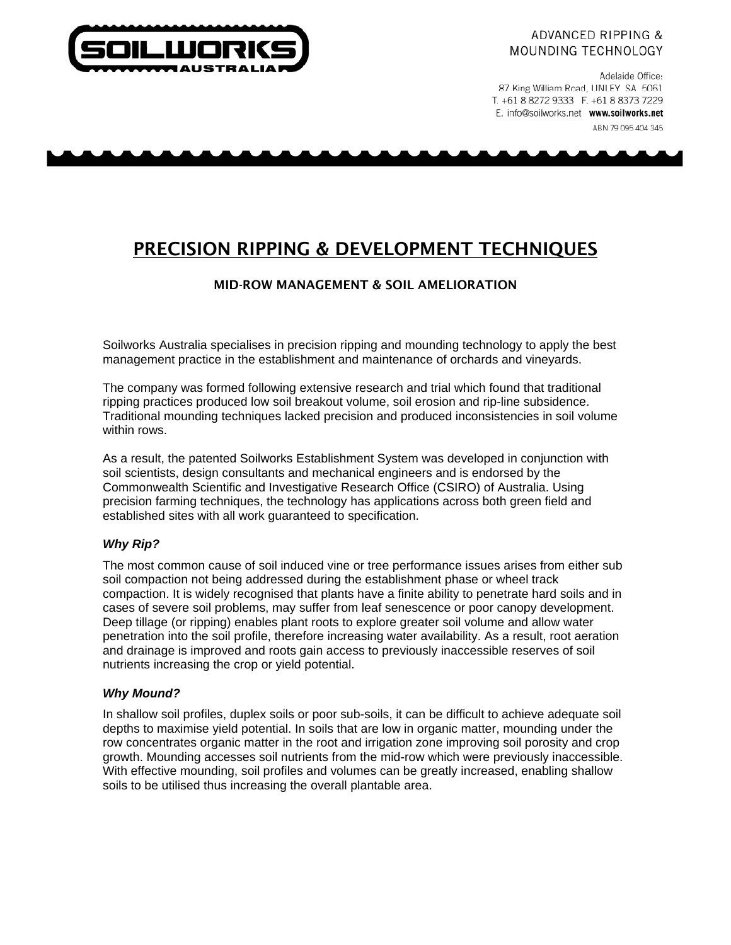

## **ADVANCED RIPPING &** MOUNDING TECHNOLOGY

Adelaide Office: 87 King William Road, UNLEY SA 5061 T. +61 8 8272 9333 F. +61 8 8373 7229 E. info@soilworks.net www.soilworks.net

ABN 79 095 404 345

# PRECISION RIPPING & DEVELOPMENT TECHNIQUES

# MID-ROW MANAGEMENT & SOIL AMELIORATION

Soilworks Australia specialises in precision ripping and mounding technology to apply the best management practice in the establishment and maintenance of orchards and vineyards.

The company was formed following extensive research and trial which found that traditional ripping practices produced low soil breakout volume, soil erosion and rip-line subsidence. Traditional mounding techniques lacked precision and produced inconsistencies in soil volume within rows.

As a result, the patented Soilworks Establishment System was developed in conjunction with soil scientists, design consultants and mechanical engineers and is endorsed by the Commonwealth Scientific and Investigative Research Office (CSIRO) of Australia. Using precision farming techniques, the technology has applications across both green field and established sites with all work guaranteed to specification.

# *Why Rip?*

The most common cause of soil induced vine or tree performance issues arises from either sub soil compaction not being addressed during the establishment phase or wheel track compaction. It is widely recognised that plants have a finite ability to penetrate hard soils and in cases of severe soil problems, may suffer from leaf senescence or poor canopy development. Deep tillage (or ripping) enables plant roots to explore greater soil volume and allow water penetration into the soil profile, therefore increasing water availability. As a result, root aeration and drainage is improved and roots gain access to previously inaccessible reserves of soil nutrients increasing the crop or yield potential.

## *Why Mound?*

In shallow soil profiles, duplex soils or poor sub-soils, it can be difficult to achieve adequate soil depths to maximise yield potential. In soils that are low in organic matter, mounding under the row concentrates organic matter in the root and irrigation zone improving soil porosity and crop growth. Mounding accesses soil nutrients from the mid-row which were previously inaccessible. With effective mounding, soil profiles and volumes can be greatly increased, enabling shallow soils to be utilised thus increasing the overall plantable area.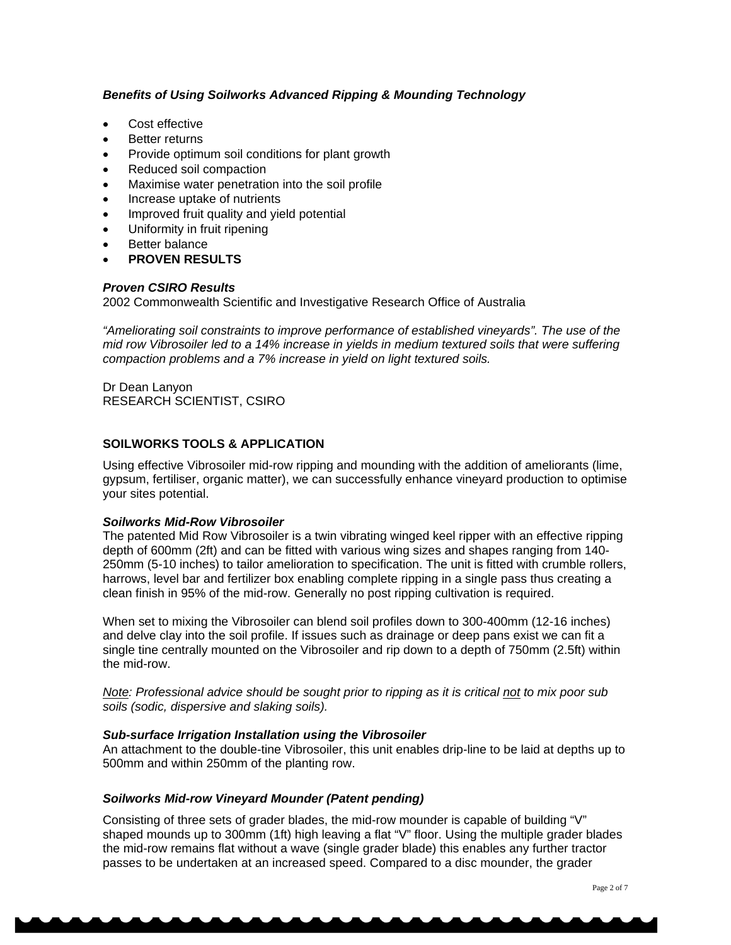## *Benefits of Using Soilworks Advanced Ripping & Mounding Technology*

- Cost effective
- **Better returns**
- Provide optimum soil conditions for plant growth
- Reduced soil compaction
- Maximise water penetration into the soil profile
- Increase uptake of nutrients
- Improved fruit quality and yield potential
- Uniformity in fruit ripening
- **Better balance**
- **PROVEN RESULTS**

## *Proven CSIRO Results*

2002 Commonwealth Scientific and Investigative Research Office of Australia

*"Ameliorating soil constraints to improve performance of established vineyards". The use of the mid row Vibrosoiler led to a 14% increase in yields in medium textured soils that were suffering compaction problems and a 7% increase in yield on light textured soils.* 

Dr Dean Lanyon RESEARCH SCIENTIST, CSIRO

## **SOILWORKS TOOLS & APPLICATION**

Using effective Vibrosoiler mid-row ripping and mounding with the addition of ameliorants (lime, gypsum, fertiliser, organic matter), we can successfully enhance vineyard production to optimise your sites potential.

## *Soilworks Mid-Row Vibrosoiler*

The patented Mid Row Vibrosoiler is a twin vibrating winged keel ripper with an effective ripping depth of 600mm (2ft) and can be fitted with various wing sizes and shapes ranging from 140- 250mm (5-10 inches) to tailor amelioration to specification. The unit is fitted with crumble rollers, harrows, level bar and fertilizer box enabling complete ripping in a single pass thus creating a clean finish in 95% of the mid-row. Generally no post ripping cultivation is required.

When set to mixing the Vibrosoiler can blend soil profiles down to 300-400mm (12-16 inches) and delve clay into the soil profile. If issues such as drainage or deep pans exist we can fit a single tine centrally mounted on the Vibrosoiler and rip down to a depth of 750mm (2.5ft) within the mid-row.

*Note: Professional advice should be sought prior to ripping as it is critical not to mix poor sub soils (sodic, dispersive and slaking soils).* 

## *Sub-surface Irrigation Installation using the Vibrosoiler*

An attachment to the double-tine Vibrosoiler, this unit enables drip-line to be laid at depths up to 500mm and within 250mm of the planting row.

## *Soilworks Mid-row Vineyard Mounder (Patent pending)*

Consisting of three sets of grader blades, the mid-row mounder is capable of building "V" shaped mounds up to 300mm (1ft) high leaving a flat "V" floor. Using the multiple grader blades the mid-row remains flat without a wave (single grader blade) this enables any further tractor passes to be undertaken at an increased speed. Compared to a disc mounder, the grader

Page 2 of 7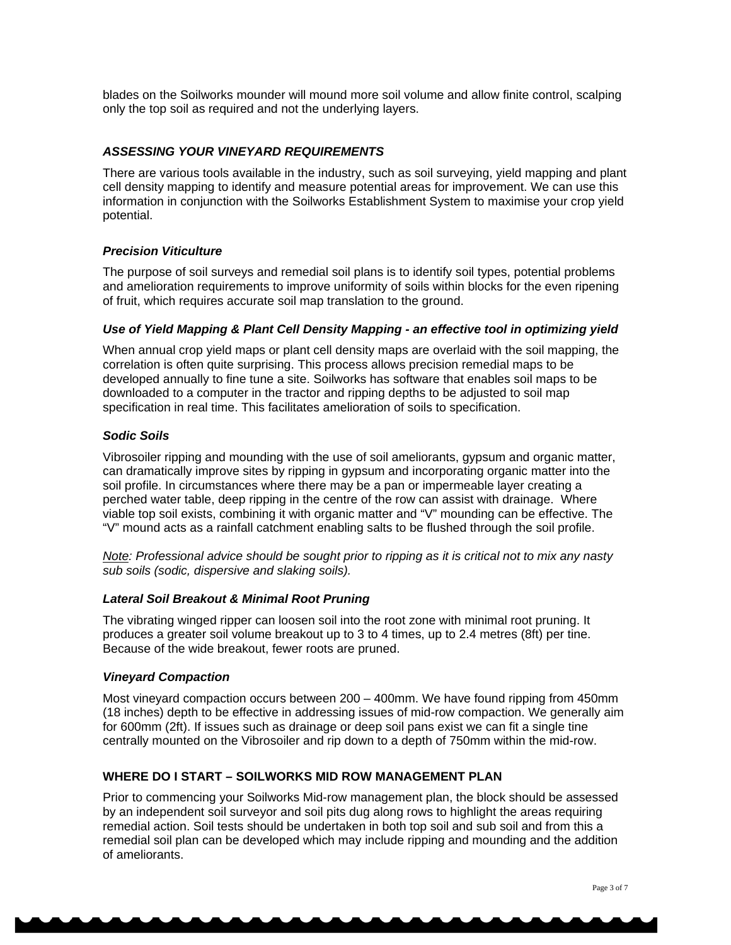blades on the Soilworks mounder will mound more soil volume and allow finite control, scalping only the top soil as required and not the underlying layers.

## *ASSESSING YOUR VINEYARD REQUIREMENTS*

There are various tools available in the industry, such as soil surveying, yield mapping and plant cell density mapping to identify and measure potential areas for improvement. We can use this information in conjunction with the Soilworks Establishment System to maximise your crop yield potential.

## *Precision Viticulture*

The purpose of soil surveys and remedial soil plans is to identify soil types, potential problems and amelioration requirements to improve uniformity of soils within blocks for the even ripening of fruit, which requires accurate soil map translation to the ground.

#### *Use of Yield Mapping & Plant Cell Density Mapping - an effective tool in optimizing yield*

When annual crop yield maps or plant cell density maps are overlaid with the soil mapping, the correlation is often quite surprising. This process allows precision remedial maps to be developed annually to fine tune a site. Soilworks has software that enables soil maps to be downloaded to a computer in the tractor and ripping depths to be adjusted to soil map specification in real time. This facilitates amelioration of soils to specification.

## *Sodic Soils*

Vibrosoiler ripping and mounding with the use of soil ameliorants, gypsum and organic matter, can dramatically improve sites by ripping in gypsum and incorporating organic matter into the soil profile. In circumstances where there may be a pan or impermeable layer creating a perched water table, deep ripping in the centre of the row can assist with drainage. Where viable top soil exists, combining it with organic matter and "V" mounding can be effective. The "V" mound acts as a rainfall catchment enabling salts to be flushed through the soil profile.

*Note: Professional advice should be sought prior to ripping as it is critical not to mix any nasty sub soils (sodic, dispersive and slaking soils).* 

#### *Lateral Soil Breakout & Minimal Root Pruning*

The vibrating winged ripper can loosen soil into the root zone with minimal root pruning. It produces a greater soil volume breakout up to 3 to 4 times, up to 2.4 metres (8ft) per tine. Because of the wide breakout, fewer roots are pruned.

#### *Vineyard Compaction*

Most vineyard compaction occurs between 200 – 400mm. We have found ripping from 450mm (18 inches) depth to be effective in addressing issues of mid-row compaction. We generally aim for 600mm (2ft). If issues such as drainage or deep soil pans exist we can fit a single tine centrally mounted on the Vibrosoiler and rip down to a depth of 750mm within the mid-row.

## **WHERE DO I START – SOILWORKS MID ROW MANAGEMENT PLAN**

Prior to commencing your Soilworks Mid-row management plan, the block should be assessed by an independent soil surveyor and soil pits dug along rows to highlight the areas requiring remedial action. Soil tests should be undertaken in both top soil and sub soil and from this a remedial soil plan can be developed which may include ripping and mounding and the addition of ameliorants.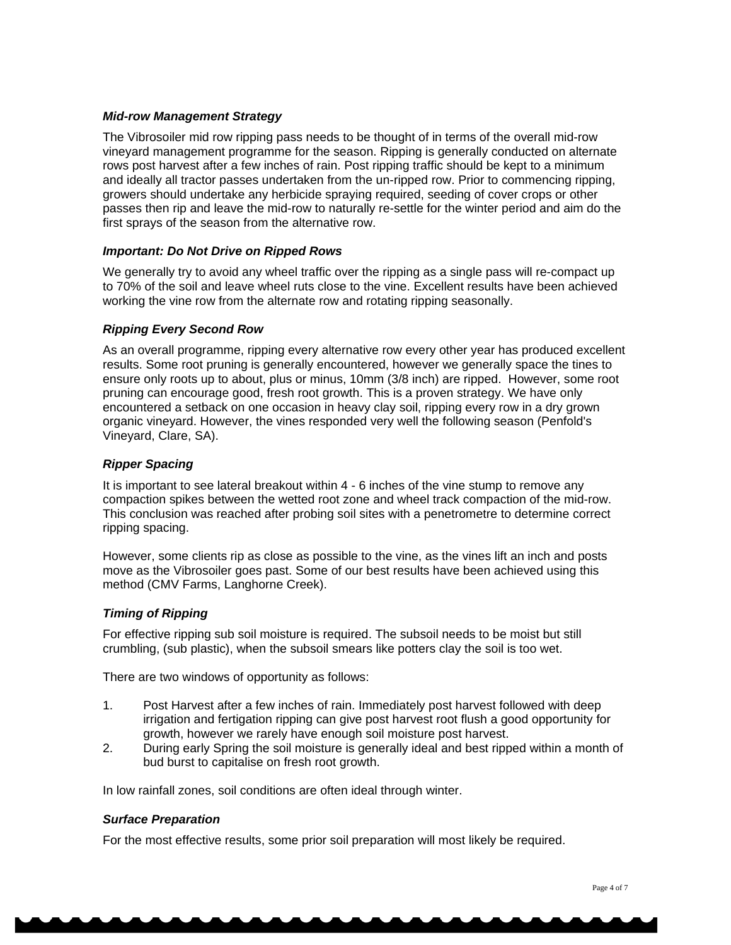## *Mid-row Management Strategy*

The Vibrosoiler mid row ripping pass needs to be thought of in terms of the overall mid-row vineyard management programme for the season. Ripping is generally conducted on alternate rows post harvest after a few inches of rain. Post ripping traffic should be kept to a minimum and ideally all tractor passes undertaken from the un-ripped row. Prior to commencing ripping, growers should undertake any herbicide spraying required, seeding of cover crops or other passes then rip and leave the mid-row to naturally re-settle for the winter period and aim do the first sprays of the season from the alternative row.

## *Important: Do Not Drive on Ripped Rows*

We generally try to avoid any wheel traffic over the ripping as a single pass will re-compact up to 70% of the soil and leave wheel ruts close to the vine. Excellent results have been achieved working the vine row from the alternate row and rotating ripping seasonally.

## *Ripping Every Second Row*

As an overall programme, ripping every alternative row every other year has produced excellent results. Some root pruning is generally encountered, however we generally space the tines to ensure only roots up to about, plus or minus, 10mm (3/8 inch) are ripped. However, some root pruning can encourage good, fresh root growth. This is a proven strategy. We have only encountered a setback on one occasion in heavy clay soil, ripping every row in a dry grown organic vineyard. However, the vines responded very well the following season (Penfold's Vineyard, Clare, SA).

## *Ripper Spacing*

It is important to see lateral breakout within 4 - 6 inches of the vine stump to remove any compaction spikes between the wetted root zone and wheel track compaction of the mid-row. This conclusion was reached after probing soil sites with a penetrometre to determine correct ripping spacing.

However, some clients rip as close as possible to the vine, as the vines lift an inch and posts move as the Vibrosoiler goes past. Some of our best results have been achieved using this method (CMV Farms, Langhorne Creek).

## *Timing of Ripping*

For effective ripping sub soil moisture is required. The subsoil needs to be moist but still crumbling, (sub plastic), when the subsoil smears like potters clay the soil is too wet.

There are two windows of opportunity as follows:

- 1. Post Harvest after a few inches of rain. Immediately post harvest followed with deep irrigation and fertigation ripping can give post harvest root flush a good opportunity for growth, however we rarely have enough soil moisture post harvest.
- 2. During early Spring the soil moisture is generally ideal and best ripped within a month of bud burst to capitalise on fresh root growth.

In low rainfall zones, soil conditions are often ideal through winter.

## *Surface Preparation*

For the most effective results, some prior soil preparation will most likely be required.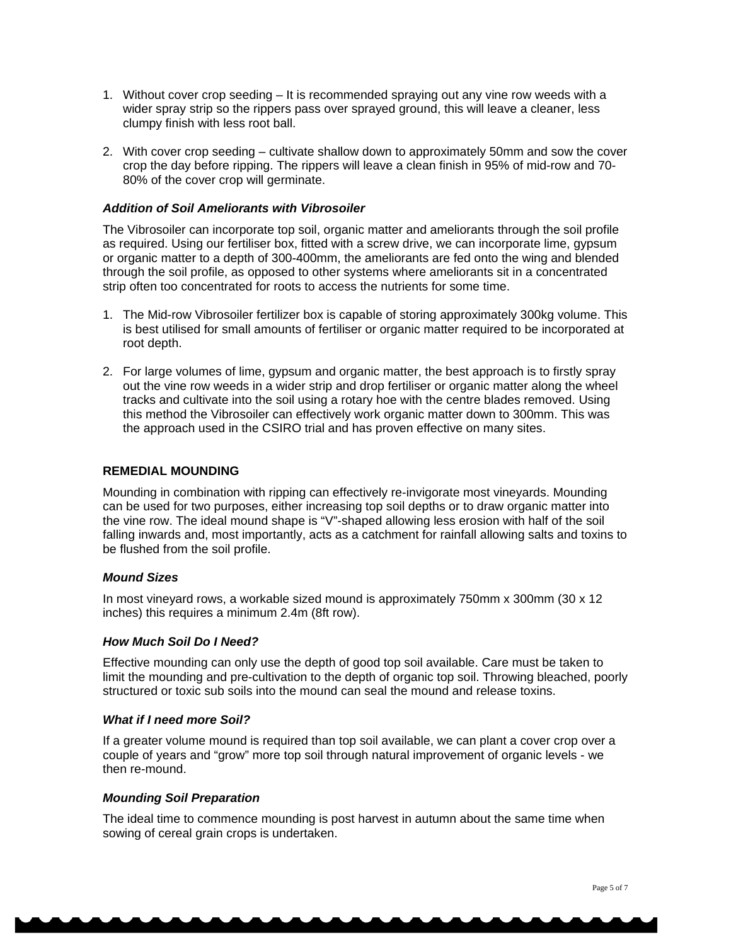- 1. Without cover crop seeding It is recommended spraying out any vine row weeds with a wider spray strip so the rippers pass over sprayed ground, this will leave a cleaner, less clumpy finish with less root ball.
- 2. With cover crop seeding cultivate shallow down to approximately 50mm and sow the cover crop the day before ripping. The rippers will leave a clean finish in 95% of mid-row and 70- 80% of the cover crop will germinate.

## *Addition of Soil Ameliorants with Vibrosoiler*

The Vibrosoiler can incorporate top soil, organic matter and ameliorants through the soil profile as required. Using our fertiliser box, fitted with a screw drive, we can incorporate lime, gypsum or organic matter to a depth of 300-400mm, the ameliorants are fed onto the wing and blended through the soil profile, as opposed to other systems where ameliorants sit in a concentrated strip often too concentrated for roots to access the nutrients for some time.

- 1. The Mid-row Vibrosoiler fertilizer box is capable of storing approximately 300kg volume. This is best utilised for small amounts of fertiliser or organic matter required to be incorporated at root depth.
- 2. For large volumes of lime, gypsum and organic matter, the best approach is to firstly spray out the vine row weeds in a wider strip and drop fertiliser or organic matter along the wheel tracks and cultivate into the soil using a rotary hoe with the centre blades removed. Using this method the Vibrosoiler can effectively work organic matter down to 300mm. This was the approach used in the CSIRO trial and has proven effective on many sites.

#### **REMEDIAL MOUNDING**

Mounding in combination with ripping can effectively re-invigorate most vineyards. Mounding can be used for two purposes, either increasing top soil depths or to draw organic matter into the vine row. The ideal mound shape is "V"-shaped allowing less erosion with half of the soil falling inwards and, most importantly, acts as a catchment for rainfall allowing salts and toxins to be flushed from the soil profile.

## *Mound Sizes*

In most vineyard rows, a workable sized mound is approximately 750mm x 300mm (30 x 12 inches) this requires a minimum 2.4m (8ft row).

#### *How Much Soil Do I Need?*

Effective mounding can only use the depth of good top soil available. Care must be taken to limit the mounding and pre-cultivation to the depth of organic top soil. Throwing bleached, poorly structured or toxic sub soils into the mound can seal the mound and release toxins.

#### *What if I need more Soil?*

If a greater volume mound is required than top soil available, we can plant a cover crop over a couple of years and "grow" more top soil through natural improvement of organic levels - we then re-mound.

## *Mounding Soil Preparation*

The ideal time to commence mounding is post harvest in autumn about the same time when sowing of cereal grain crops is undertaken.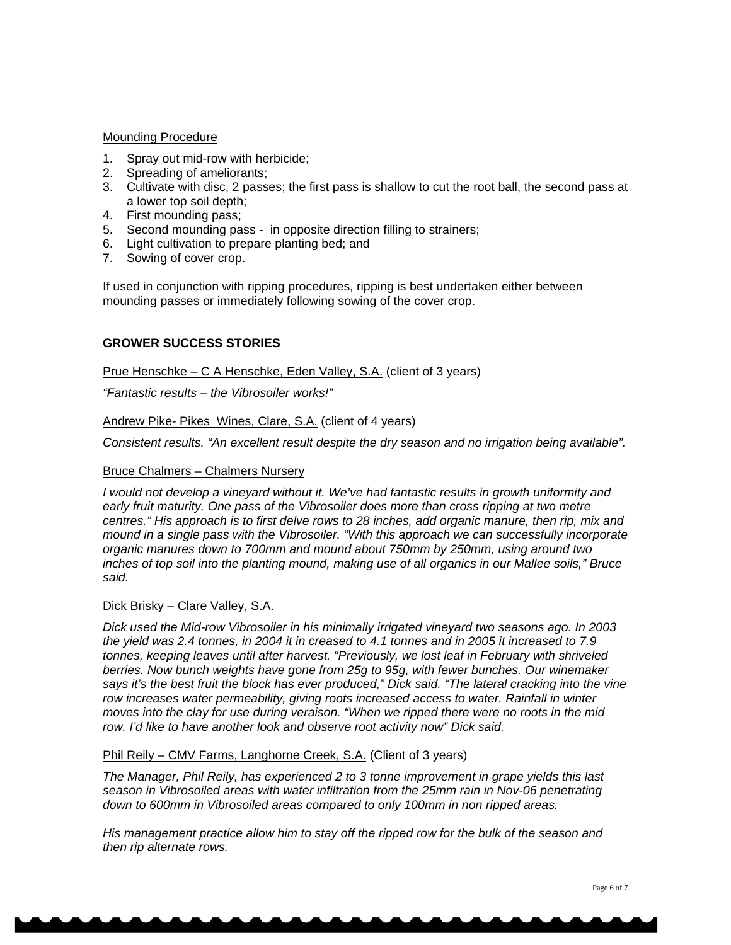## Mounding Procedure

- 1. Spray out mid-row with herbicide;
- 2. Spreading of ameliorants;
- 3. Cultivate with disc, 2 passes; the first pass is shallow to cut the root ball, the second pass at a lower top soil depth;
- 4. First mounding pass;
- 5. Second mounding pass in opposite direction filling to strainers;
- 6. Light cultivation to prepare planting bed; and
- 7. Sowing of cover crop.

If used in conjunction with ripping procedures, ripping is best undertaken either between mounding passes or immediately following sowing of the cover crop.

## **GROWER SUCCESS STORIES**

Prue Henschke – C A Henschke, Eden Valley, S.A. (client of 3 years)

*"Fantastic results – the Vibrosoiler works!"* 

Andrew Pike- Pikes Wines, Clare, S.A. (client of 4 years)

*Consistent results. "An excellent result despite the dry season and no irrigation being available".* 

## Bruce Chalmers – Chalmers Nursery

*I would not develop a vineyard without it. We've had fantastic results in growth uniformity and early fruit maturity. One pass of the Vibrosoiler does more than cross ripping at two metre centres." His approach is to first delve rows to 28 inches, add organic manure, then rip, mix and mound in a single pass with the Vibrosoiler. "With this approach we can successfully incorporate organic manures down to 700mm and mound about 750mm by 250mm, using around two inches of top soil into the planting mound, making use of all organics in our Mallee soils," Bruce said.* 

## Dick Brisky – Clare Valley, S.A.

*Dick used the Mid-row Vibrosoiler in his minimally irrigated vineyard two seasons ago. In 2003 the yield was 2.4 tonnes, in 2004 it in creased to 4.1 tonnes and in 2005 it increased to 7.9 tonnes, keeping leaves until after harvest. "Previously, we lost leaf in February with shriveled berries. Now bunch weights have gone from 25g to 95g, with fewer bunches. Our winemaker says it's the best fruit the block has ever produced," Dick said. "The lateral cracking into the vine row increases water permeability, giving roots increased access to water. Rainfall in winter moves into the clay for use during veraison. "When we ripped there were no roots in the mid row. I'd like to have another look and observe root activity now" Dick said.* 

## Phil Reily – CMV Farms, Langhorne Creek, S.A. (Client of 3 years)

*The Manager, Phil Reily, has experienced 2 to 3 tonne improvement in grape yields this last season in Vibrosoiled areas with water infiltration from the 25mm rain in Nov-06 penetrating down to 600mm in Vibrosoiled areas compared to only 100mm in non ripped areas.* 

*His management practice allow him to stay off the ripped row for the bulk of the season and then rip alternate rows.*